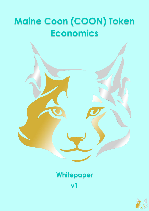## **Maine Coon (COON) Token Economics**



## **Whitepaper**

**v1**

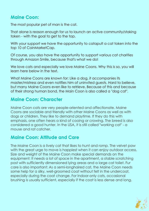## **Maine Coon:**

The most popular pet of man is the cat.

That alone is reason enough for us to launch an active community/staking token - with the goal to get to the top.

With your support we have the opportunity to catapult a cat token into the top 10 of CoinMarketCap.

Of course, you also have the opportunity to support various cat charities through Amazon Smile, because that's what we do!

We love cats and especially we love Maine Coons. Why this is so, you will learn here below in the text.

What Maine Coons are known for: Like a dog, it accompanies its master/mistress and even notifies him of uninvited guests. Hard to believe, but many Maine Coons even like to retrieve. Because of this and because of their strong human bond, the Main Coon is also called a "dog cat".

## **Maine Coon: Character**

Maine Coon cats are very people-oriented and affectionate. Maine Coons are sociable and friendly with other Maine Coons as well as with dogs or children. They like to demand playtime. If they do this with emphasis, one often hears a kind of cooing or crowing. The breed is also considered a good hunter. In the USA, it is still called "working cat" - a mouse and rat catcher.

## **Maine Coon: Attitude and Care**

The Maine Coon is a lively cat that likes to hunt and romp. The velvet paw with the great urge to move is happiest when it can enjoy outdoor access. Size and weight of the Maine Coon make special demands on the equipment: It needs a lot of space in the apartment, a stable scratching post with sufficiently dimensioned lying areas and a large cat toilet. Fur care is also important: As a semi-longhaired cat, the Maine Coon needs some help for a silky, well-groomed coat without felt in the undercoat, especially during the coat change. For indoor-only cats, occasional brushing is usually sufficient, especially if the coat is less dense and long.

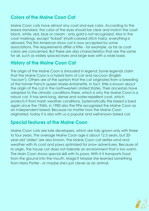## **Colors of the Maine Coon Cat**

Maine Coon cats have almost any coat and eye color. According to the breed standard, the color of the eyes should be clear and match the coat: black, white, red, blue or cream - only gold is not recognized. Also in the coat markings, except "ticked" (multi-colored stitch hairs), everything is allowed. The first American show cat is now accepted by some associations. The requirements differ a little - for example, as far as coat colors are concerned. But there are also characteristics that are the same for all, such as widely spaced eyes and large ears with a wide base.

## **History of the Maine Coon Cat**

The origin of the Maine Coon is shrouded in legend: Some legends claim that the Maine Coon is a hybrid form of cat and raccoon (English "racoon"). Others are of the opinion that the cat originates from a breeding of the former French queen Marie-Antoinette. In fact, little is known about the origin of the cat in the northwestern United States. Their ancestors have adapted to the climatic conditions there, which is why the Maine Coon is a robust cat. It has semi-long, dense and water-repellent coat, which protects it from harsh weather conditions. Systematically the breed is bred again since the 1960s, in 1983 also the FIFe recognized the Maine Coon as an independent breed. Because no matter how the Maine Coon originated, today it is also with us a popular and well-known breed cat.

## **Special features of the Maine Coon**

Maine Coon cats are late developers, which are fully grown only with three to four years. The average Maine Coon age is about 12.5 years, but 20 year-old "oldies" are also known. The Maine Coon cat defies wind and weather with its coat and paws optimized for snow adventures. Because of its origin, the house cat does not tolerate an environment that is too warm. The Main Coon shows special skill with its paws: With it it transports food from the ground into the mouth. Magic? Maybe she learned something from Harry Potter - or maybe she's just clever as an animal.

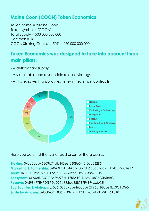## **Maine Coon (COON) Token Economics**

Token name = "Maine Coon" Token symbol = "COON" Total Supply = 500 000 000 000 Decimals = 18 COON Staking Contract 50% = 250 000 000 000

## **Token Economics was designed to take into account three main pillars:**

- A deflationary supply
- A sustainable and responsible release strategy
- A strategic vesting policy via time-limited smart contracts



Here you can find the wallet addresses for the graphic.

**Staking:** 0xcc2bcb45609b71db443e6f0608e34f5f5ab56295 **Marketing & Partnership:** 0x0A4EbAC4Acb900d3D6d0c51ad755D9b555081e17 **Team:** 0xB61EE19d559E11Fbe9CE1A66c22EDc7F638b7CD5 **Ecosystem:** 0xA6bDC31C2AE92734b17BB6191DAAc48C696b5aBC **Reserve:** 0x598497E47Df975dD35e885de8887E7F4BF4ccbCE **Bug Bounties & Airdrops:** 0x586F06Ba755e4603bb9CF9651B885e4Ec0C159e5 **Smile by Amazon:** 0xb0868C5886Fd434b12D2d149c76b6D29EFf6A010

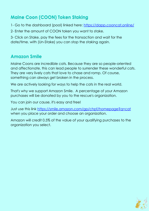## **Maine Coon (COON) Token Staking**

1- Go to the dashboard (pool) linked here:<https://dapp.cooncat.online/>

2- Enter the amount of COON token you want to stake.

3- Click on Stake, pay the fees for the transaction and wait for the date/time. with (Un-Stake) you can stop the staking again.

## **Amazon Smile**

Maine Coons are incredible cats. Because they are so people-oriented and affectionate, this can lead people to surrender these wonderful cats. They are very lively cats that love to chase and romp. Of course, something can always get broken in the process.

We are actively looking for ways to help the cats in the real world.

That's why we support Amazon Smile. A percentage of your Amazon purchases will be donated by you to the rescue's organization.

You can join our cause, it's easy and free!

Just use this link [https://smile.amazon.com/gp/chpf/homepage?q=cat](https://smile.amazon.com/gp/chpf/homepage?q=cat%20) when you place your order and choose an organization.

Amazon will credit 0.5% of the value of your qualifying purchases to the organization you select.

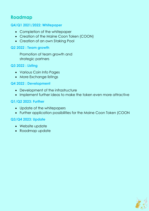## **Roadmap**

#### **Q4/Q1 2021/2022: Whitepaper**

- Completion of the whitepaper
- Creation of the Maine Coon Token (COON)
- Creation of an own Staking Pool

#### **Q2 2022 : Team growth**

Promotion of team growth and strategic partners

#### **Q3 2022 : Listing**

- Various Coin Info Pages
- More Exchange listings

#### **Q4 2022 : Development**

- Development of the infrastructure
- Implement further ideas to make the token even more attractive

#### **Q1/Q2 2023: Further**

- Update of the whitepapers
- Further application possibilities for the Maine Coon Token (COON

#### **Q3/Q4 2023: Update**

- Website update
- Roadmap update

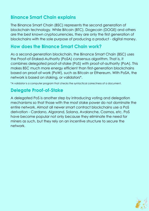## **Binance Smart Chain explains**

The Binance Smart Chain (BSC) represents the second generation of blockchain technology. While Bitcoin (BTC), Dogecoin (DOGE) and others are the best known cryptocurrencies, they are only the first generation of blockchains with the sole purpose of producing a product - digital money.

## **How does the Binance Smart Chain work?**

As a second-generation blockchain, the Binance Smart Chain (BSC) uses the Proof-of-Staked-Authority (PoSA) consensus algorithm. That is, it combines delegated proof-of-stake (PoS) with proof-of-authority (PoA). This makes BSC much more energy efficient than first-generation blockchains based on proof-of-work (PoW), such as Bitcoin or Ethereum. With PoSA, the network is based on staking, or validators\*.

\*A validator is a computer program that checks the syntactical correctness of a document.

## **Delegate Proof-of-Stake**

A delegated PoS is another step by introducing voting and delegation mechanisms so that those with the most stake power do not dominate the entire network. Almost all newer smart contract blockchains use a PoS derivation - Cardano, Algorand, Solana, Avalanche, Cosmos, etc. PoS have become popular not only because they eliminate the need for miners as such, but they rely on an incentive structure to secure the network.

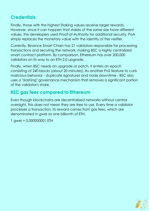## **Credentials**

Finally, those with the highest Staking values receive larger rewards. However, since it can happen that stakes of the same size have different values, the developers used Proof-of-Authority for additional security. PoA simply replaces the monetary value with the identity of the verifier.

Currently, Binance Smart Chain has 21 validators responsible for processing transactions and securing the network, making BSC a highly centralized smart contract platform. By comparison, Ethereum has over 200,000 validators on its way to an ETH 2.0 upgrade.

Finally, when BSC needs an upgrade or patch, it enters an epoch consisting of 240 blocks (about 20 minutes). As another PoS feature to curb malicious behavior - duplicate signatures and node downtime - BSC also uses a "slashing" governance mechanism that removes a significant portion of the validator's share.

## **BSC gas fees compared to Ethereum**

Even though blockchains are decentralized networks without central oversight, this does not mean they are free to use. Every time a validator processes a transaction, its reward comes from gas fees, which are denominated in gwei as one billionth of ETH.

1 gwei = 0,000000001 ETH

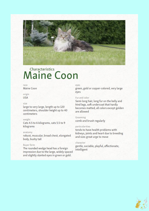

# Characteristics<br>
Maine Coon

#### race

Maine Coon

#### origin **USA**

#### $sizp$

large to very large, length up to 120 centimeters, shoulder height up to 40 centimeters

#### weight

Cats 4.5 to 6 kilograms, cats 5.5 to 9 kilograms

#### anatomy

robust, muscular, broad chest, elongated body, bushy tail

#### **Buver form**

The rounded wedge head has a foreign impression due to the large, widely spaced and slightly slanted eyes in green or gold.

#### eyes

green, gold or copper-colored, very large eves

#### Fur and color

Semi-long hair, long fur on the belly and hind legs, soft undercoat that hardly becomes matted, all colors except golden are allowed

Grooming comb and brush regularly

#### particularities

tends to have health problems with kidneys, joints and heart due to breeding and size; great urge to move

#### character

gentle, sociable, playful, affectionate, intelligent